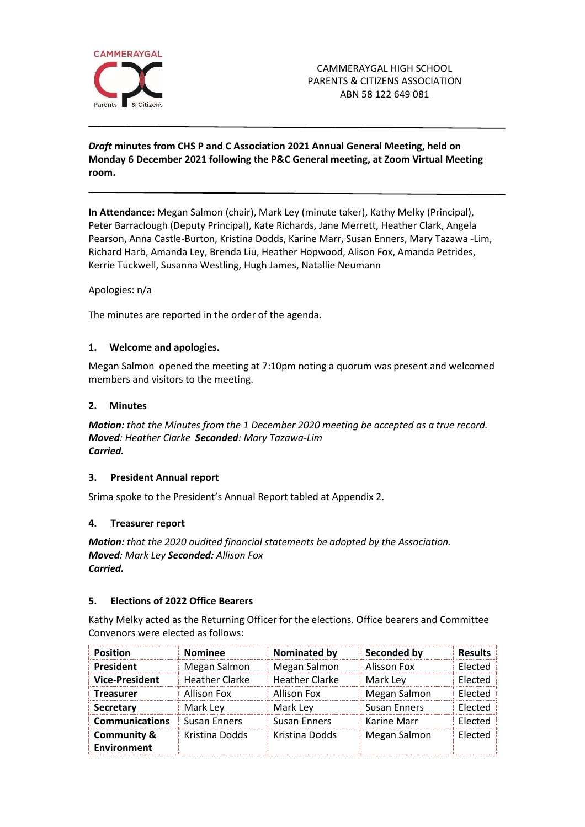

## *Draft* **minutes from CHS P and C Association 2021 Annual General Meeting, held on Monday 6 December 2021 following the P&C General meeting, at Zoom Virtual Meeting room.**

**In Attendance:** Megan Salmon (chair), Mark Ley (minute taker), Kathy Melky (Principal), Peter Barraclough (Deputy Principal), Kate Richards, Jane Merrett, Heather Clark, Angela Pearson, Anna Castle-Burton, Kristina Dodds, Karine Marr, Susan Enners, Mary Tazawa -Lim, Richard Harb, Amanda Ley, Brenda Liu, Heather Hopwood, Alison Fox, Amanda Petrides, Kerrie Tuckwell, Susanna Westling, Hugh James, Natallie Neumann

### Apologies: n/a

The minutes are reported in the order of the agenda.

## **1. Welcome and apologies.**

Megan Salmon opened the meeting at 7:10pm noting a quorum was present and welcomed members and visitors to the meeting.

### **2. Minutes**

*Motion: that the Minutes from the 1 December 2020 meeting be accepted as a true record. Moved: Heather Clarke Seconded: Mary Tazawa-Lim Carried.*

### **3. President Annual report**

Srima spoke to the President's Annual Report tabled at Appendix 2.

### **4. Treasurer report**

*Motion: that the 2020 audited financial statements be adopted by the Association. Moved: Mark Ley Seconded: Allison Fox Carried.*

### **5. Elections of 2022 Office Bearers**

Kathy Melky acted as the Returning Officer for the elections. Office bearers and Committee Convenors were elected as follows:

| <b>Position</b>        | <b>Nominee</b>        | Nominated by          | Seconded by         | <b>Results</b> |
|------------------------|-----------------------|-----------------------|---------------------|----------------|
| President              | Megan Salmon          | Megan Salmon          | Alisson Fox         | Elected        |
| <b>Vice-President</b>  | <b>Heather Clarke</b> | <b>Heather Clarke</b> | Mark Ley            | Flected        |
| Treasurer              | Allison Fox           | Allison Fox           | Megan Salmon        | Elected        |
| Secretary              | Mark Ley              | Mark Ley              | <b>Susan Enners</b> | Elected        |
| <b>Communications</b>  | <b>Susan Enners</b>   | <b>Susan Enners</b>   | Karine Marr         | Elected        |
| <b>Community &amp;</b> | Kristina Dodds        | Kristina Dodds        | Megan Salmon        | Elected        |
| <b>Environment</b>     |                       |                       |                     |                |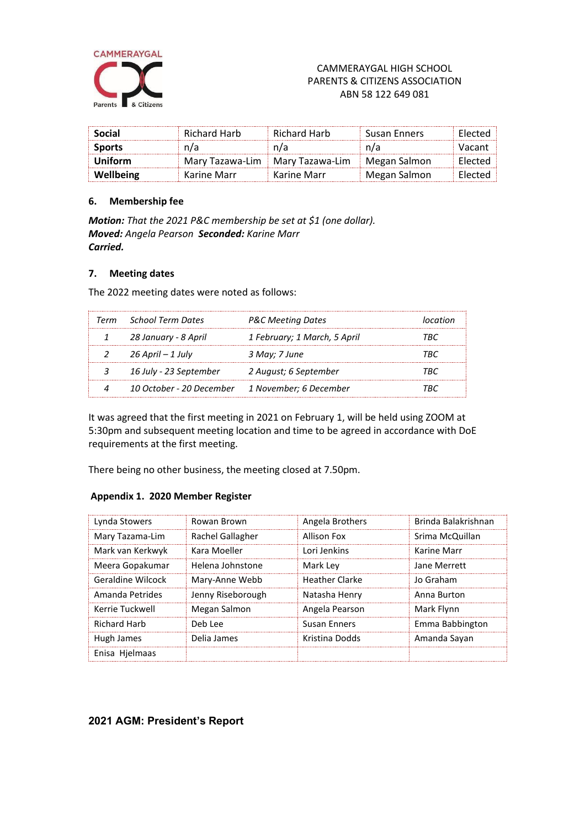

| Social        | Richard Harb                      | Richard Harb | <b>Susan Enners</b> | Flected |
|---------------|-----------------------------------|--------------|---------------------|---------|
| <b>Sports</b> | n/a                               | n/a          | n/a                 | Vacant  |
| Uniform       | Mary Tazawa-Lim   Mary Tazawa-Lim |              | Megan Salmon        | Flected |
| Wellbeing     | Karine Marr                       | Karine Marr  | Megan Salmon        | Flected |

### **6. Membership fee**

*Motion: That the 2021 P&C membership be set at \$1 (one dollar). Moved: Angela Pearson Seconded: Karine Marr Carried.*

## **7. Meeting dates**

The 2022 meeting dates were noted as follows:

| Term School Term Dates                          | P&C Meeting Dates            |     |
|-------------------------------------------------|------------------------------|-----|
| 28 January - 8 April                            | 1 February; 1 March, 5 April | 'RC |
| 26 April – 1 July                               | 3 May; 7 June                |     |
| 16 July - 23 September                          | 2 August; 6 September        | ™R∩ |
| 10 October - 20 December 1 November; 6 December |                              |     |

It was agreed that the first meeting in 2021 on February 1, will be held using ZOOM at 5:30pm and subsequent meeting location and time to be agreed in accordance with DoE requirements at the first meeting.

There being no other business, the meeting closed at 7.50pm.

#### **Appendix 1. 2020 Member Register**

| Lynda Stowers       | Rowan Brown       | Angela Brothers       | Brinda Balakrishnan |
|---------------------|-------------------|-----------------------|---------------------|
| Mary Tazama-Lim     | Rachel Gallagher  | Allison Fox           | Srima McQuillan     |
| Mark van Kerkwyk    | Kara Moeller      | Lori Jenkins          | Karine Marr         |
| Meera Gopakumar     | Helena Johnstone  | Mark Ley              | Jane Merrett        |
| Geraldine Wilcock   | Mary-Anne Webb    | <b>Heather Clarke</b> | Jo Graham           |
| Amanda Petrides     | Jenny Riseborough | Natasha Henry         | Anna Burton         |
| Kerrie Tuckwell     | Megan Salmon      | Angela Pearson        | Mark Flynn          |
| <b>Richard Harb</b> | Deb Lee           | <b>Susan Enners</b>   | Emma Babbington     |
| Hugh James          | Delia James       | Kristina Dodds        | Amanda Sayan        |
| Enisa Hielmaas      |                   |                       |                     |

# **2021 AGM: President's Report**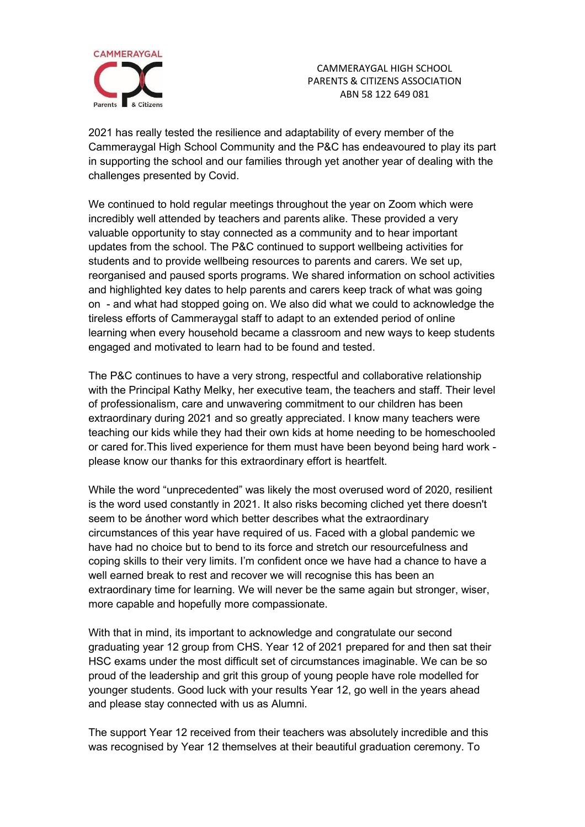

CAMMERAYGAL HIGH SCHOOL PARENTS & CITIZENS ASSOCIATION ABN 58 122 649 081

2021 has really tested the resilience and adaptability of every member of the Cammeraygal High School Community and the P&C has endeavoured to play its part in supporting the school and our families through yet another year of dealing with the challenges presented by Covid.

We continued to hold regular meetings throughout the year on Zoom which were incredibly well attended by teachers and parents alike. These provided a very valuable opportunity to stay connected as a community and to hear important updates from the school. The P&C continued to support wellbeing activities for students and to provide wellbeing resources to parents and carers. We set up, reorganised and paused sports programs. We shared information on school activities and highlighted key dates to help parents and carers keep track of what was going on - and what had stopped going on. We also did what we could to acknowledge the tireless efforts of Cammeraygal staff to adapt to an extended period of online learning when every household became a classroom and new ways to keep students engaged and motivated to learn had to be found and tested.

The P&C continues to have a very strong, respectful and collaborative relationship with the Principal Kathy Melky, her executive team, the teachers and staff. Their level of professionalism, care and unwavering commitment to our children has been extraordinary during 2021 and so greatly appreciated. I know many teachers were teaching our kids while they had their own kids at home needing to be homeschooled or cared for.This lived experience for them must have been beyond being hard work please know our thanks for this extraordinary effort is heartfelt.

While the word "unprecedented" was likely the most overused word of 2020, resilient is the word used constantly in 2021. It also risks becoming cliched yet there doesn't seem to be ánother word which better describes what the extraordinary circumstances of this year have required of us. Faced with a global pandemic we have had no choice but to bend to its force and stretch our resourcefulness and coping skills to their very limits. I'm confident once we have had a chance to have a well earned break to rest and recover we will recognise this has been an extraordinary time for learning. We will never be the same again but stronger, wiser, more capable and hopefully more compassionate.

With that in mind, its important to acknowledge and congratulate our second graduating year 12 group from CHS. Year 12 of 2021 prepared for and then sat their HSC exams under the most difficult set of circumstances imaginable. We can be so proud of the leadership and grit this group of young people have role modelled for younger students. Good luck with your results Year 12, go well in the years ahead and please stay connected with us as Alumni.

The support Year 12 received from their teachers was absolutely incredible and this was recognised by Year 12 themselves at their beautiful graduation ceremony. To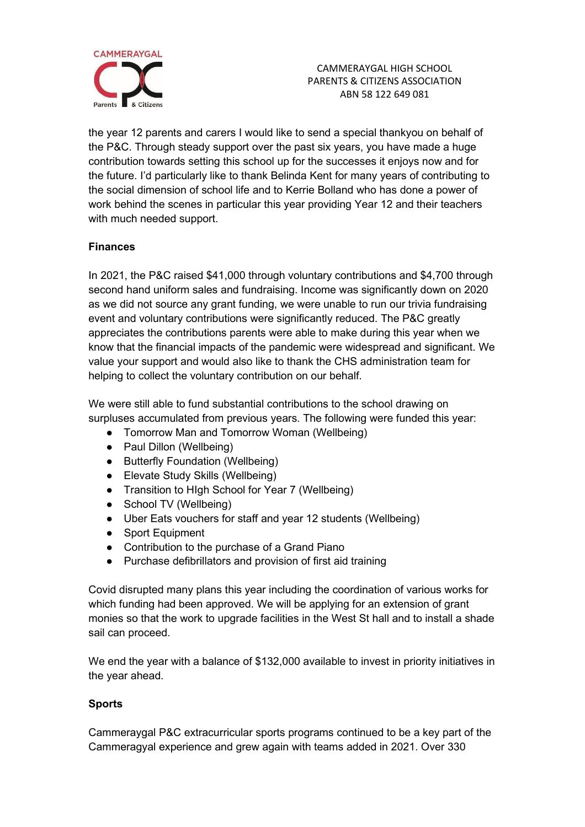

the year 12 parents and carers I would like to send a special thankyou on behalf of the P&C. Through steady support over the past six years, you have made a huge contribution towards setting this school up for the successes it enjoys now and for the future. I'd particularly like to thank Belinda Kent for many years of contributing to the social dimension of school life and to Kerrie Bolland who has done a power of work behind the scenes in particular this year providing Year 12 and their teachers with much needed support.

# **Finances**

In 2021, the P&C raised \$41,000 through voluntary contributions and \$4,700 through second hand uniform sales and fundraising. Income was significantly down on 2020 as we did not source any grant funding, we were unable to run our trivia fundraising event and voluntary contributions were significantly reduced. The P&C greatly appreciates the contributions parents were able to make during this year when we know that the financial impacts of the pandemic were widespread and significant. We value your support and would also like to thank the CHS administration team for helping to collect the voluntary contribution on our behalf.

We were still able to fund substantial contributions to the school drawing on surpluses accumulated from previous years. The following were funded this year:

- Tomorrow Man and Tomorrow Woman (Wellbeing)
- Paul Dillon (Wellbeing)
- Butterfly Foundation (Wellbeing)
- Elevate Study Skills (Wellbeing)
- Transition to HIgh School for Year 7 (Wellbeing)
- School TV (Wellbeing)
- Uber Eats vouchers for staff and year 12 students (Wellbeing)
- Sport Equipment
- Contribution to the purchase of a Grand Piano
- Purchase defibrillators and provision of first aid training

Covid disrupted many plans this year including the coordination of various works for which funding had been approved. We will be applying for an extension of grant monies so that the work to upgrade facilities in the West St hall and to install a shade sail can proceed.

We end the year with a balance of \$132,000 available to invest in priority initiatives in the year ahead.

# **Sports**

Cammeraygal P&C extracurricular sports programs continued to be a key part of the Cammeragyal experience and grew again with teams added in 2021. Over 330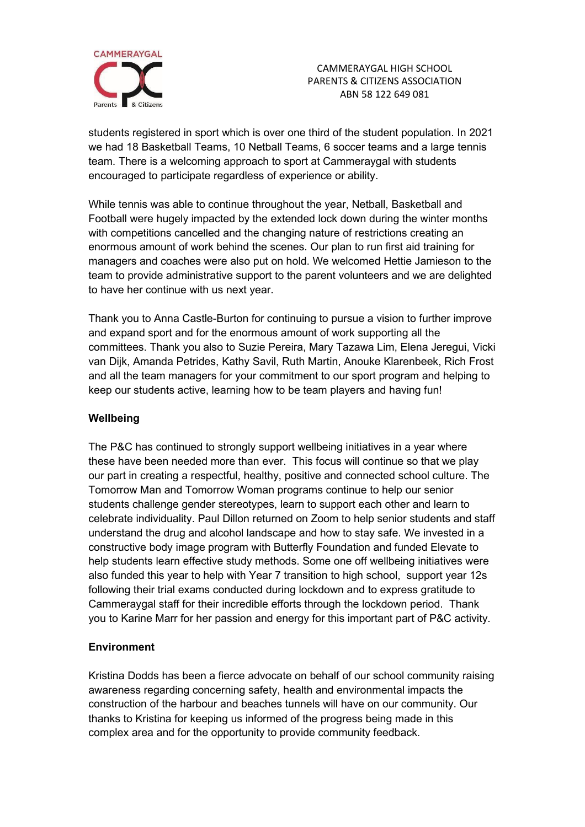

CAMMERAYGAL HIGH SCHOOL PARENTS & CITIZENS ASSOCIATION ABN 58 122 649 081

students registered in sport which is over one third of the student population. In 2021 we had 18 Basketball Teams, 10 Netball Teams, 6 soccer teams and a large tennis team. There is a welcoming approach to sport at Cammeraygal with students encouraged to participate regardless of experience or ability.

While tennis was able to continue throughout the year, Netball, Basketball and Football were hugely impacted by the extended lock down during the winter months with competitions cancelled and the changing nature of restrictions creating an enormous amount of work behind the scenes. Our plan to run first aid training for managers and coaches were also put on hold. We welcomed Hettie Jamieson to the team to provide administrative support to the parent volunteers and we are delighted to have her continue with us next year.

Thank you to Anna Castle-Burton for continuing to pursue a vision to further improve and expand sport and for the enormous amount of work supporting all the committees. Thank you also to Suzie Pereira, Mary Tazawa Lim, Elena Jeregui, Vicki van Dijk, Amanda Petrides, Kathy Savil, Ruth Martin, Anouke Klarenbeek, Rich Frost and all the team managers for your commitment to our sport program and helping to keep our students active, learning how to be team players and having fun!

# **Wellbeing**

The P&C has continued to strongly support wellbeing initiatives in a year where these have been needed more than ever. This focus will continue so that we play our part in creating a respectful, healthy, positive and connected school culture. The Tomorrow Man and Tomorrow Woman programs continue to help our senior students challenge gender stereotypes, learn to support each other and learn to celebrate individuality. Paul Dillon returned on Zoom to help senior students and staff understand the drug and alcohol landscape and how to stay safe. We invested in a constructive body image program with Butterfly Foundation and funded Elevate to help students learn effective study methods. Some one off wellbeing initiatives were also funded this year to help with Year 7 transition to high school, support year 12s following their trial exams conducted during lockdown and to express gratitude to Cammeraygal staff for their incredible efforts through the lockdown period. Thank you to Karine Marr for her passion and energy for this important part of P&C activity.

## **Environment**

Kristina Dodds has been a fierce advocate on behalf of our school community raising awareness regarding concerning safety, health and environmental impacts the construction of the harbour and beaches tunnels will have on our community. Our thanks to Kristina for keeping us informed of the progress being made in this complex area and for the opportunity to provide community feedback.